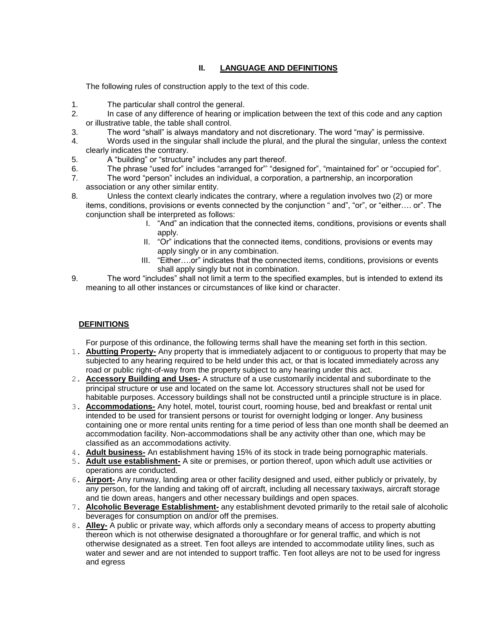## **II. LANGUAGE AND DEFINITIONS**

The following rules of construction apply to the text of this code.

- 1. The particular shall control the general.
- 2. In case of any difference of hearing or implication between the text of this code and any caption or illustrative table, the table shall control.
- 3. The word "shall" is always mandatory and not discretionary. The word "may" is permissive.
- 4. Words used in the singular shall include the plural, and the plural the singular, unless the context clearly indicates the contrary.
- 5. A "building" or "structure" includes any part thereof.
- 6. The phrase "used for" includes "arranged for" "designed for", "maintained for" or "occupied for".
- 7. The word "person" includes an individual, a corporation, a partnership, an incorporation association or any other similar entity.
- 8. Unless the context clearly indicates the contrary, where a regulation involves two (2) or more items, conditions, provisions or events connected by the conjunction " and", "or", or "either…. or". The conjunction shall be interpreted as follows:
	- I. "And" an indication that the connected items, conditions, provisions or events shall apply.
	- II. "Or" indications that the connected items, conditions, provisions or events may apply singly or in any combination.
	- III. "Either....or" indicates that the connected items, conditions, provisions or events shall apply singly but not in combination.
- 9. The word "includes" shall not limit a term to the specified examples, but is intended to extend its meaning to all other instances or circumstances of like kind or character.

## **DEFINITIONS**

For purpose of this ordinance, the following terms shall have the meaning set forth in this section.

- 1. **Abutting Property-** Any property that is immediately adjacent to or contiguous to property that may be subjected to any hearing required to be held under this act, or that is located immediately across any road or public right-of-way from the property subject to any hearing under this act.
- 2. **Accessory Building and Uses-** A structure of a use customarily incidental and subordinate to the principal structure or use and located on the same lot. Accessory structures shall not be used for habitable purposes. Accessory buildings shall not be constructed until a principle structure is in place.
- 3. **Accommodations-** Any hotel, motel, tourist court, rooming house, bed and breakfast or rental unit intended to be used for transient persons or tourist for overnight lodging or longer. Any business containing one or more rental units renting for a time period of less than one month shall be deemed an accommodation facility. Non-accommodations shall be any activity other than one, which may be classified as an accommodations activity.
- 4. **Adult business-** An establishment having 15% of its stock in trade being pornographic materials.
- 5. **Adult use establishment-** A site or premises, or portion thereof, upon which adult use activities or operations are conducted.
- 6. **Airport-** Any runway, landing area or other facility designed and used, either publicly or privately, by any person, for the landing and taking off of aircraft, including all necessary taxiways, aircraft storage and tie down areas, hangers and other necessary buildings and open spaces.
- 7. **Alcoholic Beverage Establishment-** any establishment devoted primarily to the retail sale of alcoholic beverages for consumption on and/or off the premises.
- 8. **Alley-** A public or private way, which affords only a secondary means of access to property abutting thereon which is not otherwise designated a thoroughfare or for general traffic, and which is not otherwise designated as a street. Ten foot alleys are intended to accommodate utility lines, such as water and sewer and are not intended to support traffic. Ten foot alleys are not to be used for ingress and egress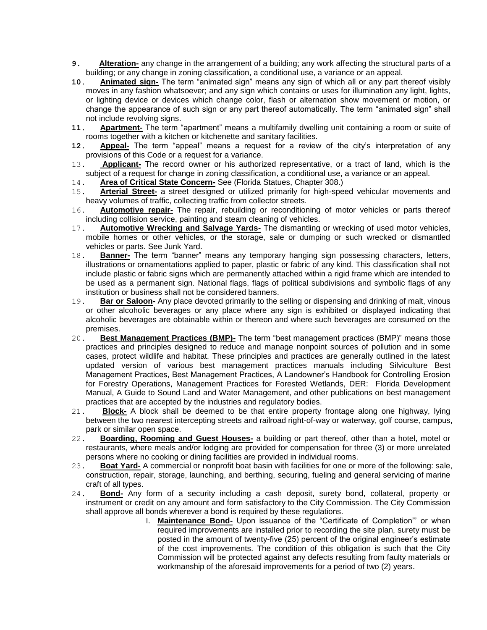- **9. Alteration-** any change in the arrangement of a building; any work affecting the structural parts of a building; or any change in zoning classification, a conditional use, a variance or an appeal.
- **10. Animated sign-** The term "animated sign" means any sign of which all or any part thereof visibly moves in any fashion whatsoever; and any sign which contains or uses for illumination any light, lights, or lighting device or devices which change color, flash or alternation show movement or motion, or change the appearance of such sign or any part thereof automatically. The term "animated sign" shall not include revolving signs.
- 11. **Apartment-** The term "apartment" means a multifamily dwelling unit containing a room or suite of
- rooms together with a kitchen or kitchenette and sanitary facilities.<br>12. **Appeal-** The term "appeal" means a request for a review Appeal- The term "appeal" means a request for a review of the city's interpretation of any provisions of this Code or a request for a variance.
- 13. **Applicant-** The record owner or his authorized representative, or a tract of land, which is the subject of a request for change in zoning classification, a conditional use, a variance or an appeal.
- 14. **Area of Critical State Concern-** See (Florida Statues, Chapter 308.)
- 15. **Arterial Street-** a street designed or utilized primarily for high-speed vehicular movements and heavy volumes of traffic, collecting traffic from collector streets.
- 16. **Automotive repair-** The repair, rebuilding or reconditioning of motor vehicles or parts thereof including collision service, painting and steam cleaning of vehicles.
- 17. **Automotive Wrecking and Salvage Yards-** The dismantling or wrecking of used motor vehicles, mobile homes or other vehicles, or the storage, sale or dumping or such wrecked or dismantled vehicles or parts. See Junk Yard.
- 18. **Banner-** The term "banner" means any temporary hanging sign possessing characters, letters, illustrations or ornamentations applied to paper, plastic or fabric of any kind. This classification shall not include plastic or fabric signs which are permanently attached within a rigid frame which are intended to be used as a permanent sign. National flags, flags of political subdivisions and symbolic flags of any institution or business shall not be considered banners.
- 19. **Bar or Saloon-** Any place devoted primarily to the selling or dispensing and drinking of malt, vinous or other alcoholic beverages or any place where any sign is exhibited or displayed indicating that alcoholic beverages are obtainable within or thereon and where such beverages are consumed on the premises.<br>20. **Best**
- **Best Management Practices (BMP)-** The term "best management practices (BMP)" means those practices and principles designed to reduce and manage nonpoint sources of pollution and in some cases, protect wildlife and habitat. These principles and practices are generally outlined in the latest updated version of various best management practices manuals including Silviculture Best Management Practices, Best Management Practices, A Landowner's Handbook for Controlling Erosion for Forestry Operations, Management Practices for Forested Wetlands, DER: Florida Development Manual, A Guide to Sound Land and Water Management, and other publications on best management practices that are accepted by the industries and regulatory bodies.
- 21. **Block-** A block shall be deemed to be that entire property frontage along one highway, lying between the two nearest intercepting streets and railroad right-of-way or waterway, golf course, campus, park or similar open space.
- 22. **Boarding, Rooming and Guest Houses-** a building or part thereof, other than a hotel, motel or restaurants, where meals and/or lodging are provided for compensation for three (3) or more unrelated persons where no cooking or dining facilities are provided in individual rooms.
- 23. **Boat Yard-** A commercial or nonprofit boat basin with facilities for one or more of the following: sale, construction, repair, storage, launching, and berthing, securing, fueling and general servicing of marine craft of all types.
- 24. **Bond-** Any form of a security including a cash deposit, surety bond, collateral, property or instrument or credit on any amount and form satisfactory to the City Commission. The City Commission shall approve all bonds wherever a bond is required by these regulations.
	- I. **Maintenance Bond-** Upon issuance of the "Certificate of Completion" or when required improvements are installed prior to recording the site plan, surety must be posted in the amount of twenty-five (25) percent of the original engineer's estimate of the cost improvements. The condition of this obligation is such that the City Commission will be protected against any defects resulting from faulty materials or workmanship of the aforesaid improvements for a period of two (2) years.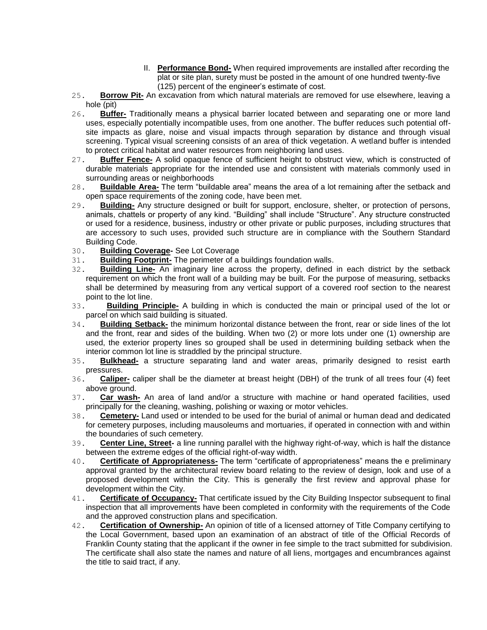- II. **Performance Bond-** When required improvements are installed after recording the plat or site plan, surety must be posted in the amount of one hundred twenty-five (125) percent of the engineer's estimate of cost.
- 25. **Borrow Pit-** An excavation from which natural materials are removed for use elsewhere, leaving a hole (pit)
- 26. **Buffer-** Traditionally means a physical barrier located between and separating one or more land uses, especially potentially incompatible uses, from one another. The buffer reduces such potential offsite impacts as glare, noise and visual impacts through separation by distance and through visual screening. Typical visual screening consists of an area of thick vegetation. A wetland buffer is intended to protect critical habitat and water resources from neighboring land uses.
- 27. **Buffer Fence-** A solid opaque fence of sufficient height to obstruct view, which is constructed of durable materials appropriate for the intended use and consistent with materials commonly used in surrounding areas or neighborhoods
- 28. **Buildable Area-** The term "buildable area" means the area of a lot remaining after the setback and open space requirements of the zoning code, have been met.
- 29. **Building-** Any structure designed or built for support, enclosure, shelter, or protection of persons, animals, chattels or property of any kind. "Building" shall include "Structure". Any structure constructed or used for a residence, business, industry or other private or public purposes, including structures that are accessory to such uses, provided such structure are in compliance with the Southern Standard Building Code.
- 30. **Building Coverage-** See Lot Coverage
- 31. **Building Footprint-** The perimeter of a buildings foundation walls.
- 32. **Building Line-** An imaginary line across the property, defined in each district by the setback requirement on which the front wall of a building may be built. For the purpose of measuring, setbacks shall be determined by measuring from any vertical support of a covered roof section to the nearest
- point to the lot line.<br>33. **Building Pri Building Principle-** A building in which is conducted the main or principal used of the lot or parcel on which said building is situated.
- 34. **Building Setback-** the minimum horizontal distance between the front, rear or side lines of the lot and the front, rear and sides of the building. When two (2) or more lots under one (1) ownership are used, the exterior property lines so grouped shall be used in determining building setback when the interior common lot line is straddled by the principal structure.
- 35. **Bulkhead-** a structure separating land and water areas, primarily designed to resist earth pressures.
- 36. **Caliper-** caliper shall be the diameter at breast height (DBH) of the trunk of all trees four (4) feet above ground.
- 37. **Car wash-** An area of land and/or a structure with machine or hand operated facilities, used principally for the cleaning, washing, polishing or waxing or motor vehicles.
- 38. **Cemetery-** Land used or intended to be used for the burial of animal or human dead and dedicated for cemetery purposes, including mausoleums and mortuaries, if operated in connection with and within the boundaries of such cemetery.
- 39. **Center Line, Street-** a line running parallel with the highway right-of-way, which is half the distance between the extreme edges of the official right-of-way width.
- 40. **Certificate of Appropriateness-** The term "certificate of appropriateness" means the e preliminary approval granted by the architectural review board relating to the review of design, look and use of a proposed development within the City. This is generally the first review and approval phase for development within the City.
- 41. **Certificate of Occupancy-** That certificate issued by the City Building Inspector subsequent to final inspection that all improvements have been completed in conformity with the requirements of the Code and the approved construction plans and specification.
- 42. **Certification of Ownership-** An opinion of title of a licensed attorney of Title Company certifying to the Local Government, based upon an examination of an abstract of title of the Official Records of Franklin County stating that the applicant if the owner in fee simple to the tract submitted for subdivision. The certificate shall also state the names and nature of all liens, mortgages and encumbrances against the title to said tract, if any.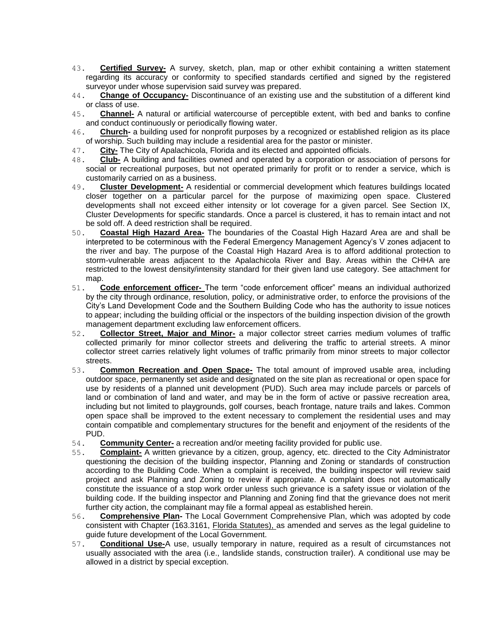- 43. **Certified Survey-** A survey, sketch, plan, map or other exhibit containing a written statement regarding its accuracy or conformity to specified standards certified and signed by the registered surveyor under whose supervision said survey was prepared.
- 44. **Change of Occupancy-** Discontinuance of an existing use and the substitution of a different kind or class of use.
- 45. **Channel-** A natural or artificial watercourse of perceptible extent, with bed and banks to confine and conduct continuously or periodically flowing water.
- 46. **Church-** a building used for nonprofit purposes by a recognized or established religion as its place of worship. Such building may include a residential area for the pastor or minister.
- 47. **City-** The City of Apalachicola, Florida and its elected and appointed officials.
- 48. **Club-** A building and facilities owned and operated by a corporation or association of persons for social or recreational purposes, but not operated primarily for profit or to render a service, which is customarily carried on as a business.
- 49. **Cluster Development-** A residential or commercial development which features buildings located closer together on a particular parcel for the purpose of maximizing open space. Clustered developments shall not exceed either intensity or lot coverage for a given parcel. See Section IX, Cluster Developments for specific standards. Once a parcel is clustered, it has to remain intact and not be sold off. A deed restriction shall be required.
- 50. **Coastal High Hazard Area-** The boundaries of the Coastal High Hazard Area are and shall be interpreted to be coterminous with the Federal Emergency Management Agency's V zones adjacent to the river and bay. The purpose of the Coastal High Hazard Area is to afford additional protection to storm-vulnerable areas adjacent to the Apalachicola River and Bay. Areas within the CHHA are restricted to the lowest density/intensity standard for their given land use category. See attachment for map.
- 51. **Code enforcement officer-** The term "code enforcement officer" means an individual authorized by the city through ordinance, resolution, policy, or administrative order, to enforce the provisions of the City's Land Development Code and the Southern Building Code who has the authority to issue notices to appear; including the building official or the inspectors of the building inspection division of the growth management department excluding law enforcement officers.
- 52. **Collector Street, Major and Minor-** a major collector street carries medium volumes of traffic collected primarily for minor collector streets and delivering the traffic to arterial streets. A minor collector street carries relatively light volumes of traffic primarily from minor streets to major collector streets.
- 53. **Common Recreation and Open Space-** The total amount of improved usable area, including outdoor space, permanently set aside and designated on the site plan as recreational or open space for use by residents of a planned unit development (PUD). Such area may include parcels or parcels of land or combination of land and water, and may be in the form of active or passive recreation area, including but not limited to playgrounds, golf courses, beach frontage, nature trails and lakes. Common open space shall be improved to the extent necessary to complement the residential uses and may contain compatible and complementary structures for the benefit and enjoyment of the residents of the PUD.
- 54. **Community Center-** a recreation and/or meeting facility provided for public use.
- 55. **Complaint-** A written grievance by a citizen, group, agency, etc. directed to the City Administrator questioning the decision of the building inspector, Planning and Zoning or standards of construction according to the Building Code. When a complaint is received, the building inspector will review said project and ask Planning and Zoning to review if appropriate. A complaint does not automatically constitute the issuance of a stop work order unless such grievance is a safety issue or violation of the building code. If the building inspector and Planning and Zoning find that the grievance does not merit further city action, the complainant may file a formal appeal as established herein.
- 56. **Comprehensive Plan-** The Local Government Comprehensive Plan, which was adopted by code consistent with Chapter (163.3161, Florida Statutes), as amended and serves as the legal guideline to guide future development of the Local Government.
- 57. **Conditional Use-**A use, usually temporary in nature, required as a result of circumstances not usually associated with the area (i.e., landslide stands, construction trailer). A conditional use may be allowed in a district by special exception.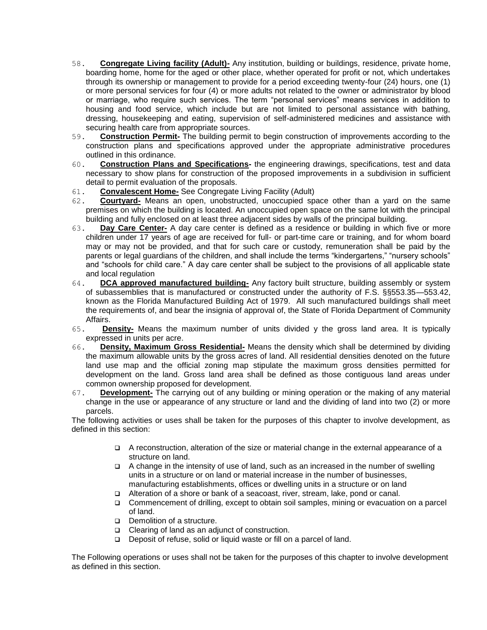- 58. **Congregate Living facility (Adult)-** Any institution, building or buildings, residence, private home, boarding home, home for the aged or other place, whether operated for profit or not, which undertakes through its ownership or management to provide for a period exceeding twenty-four (24) hours, one (1) or more personal services for four (4) or more adults not related to the owner or administrator by blood or marriage, who require such services. The term "personal services" means services in addition to housing and food service, which include but are not limited to personal assistance with bathing, dressing, housekeeping and eating, supervision of self-administered medicines and assistance with securing health care from appropriate sources.<br>59. **Construction Permit-** The building permit
- **Construction Permit-** The building permit to begin construction of improvements according to the construction plans and specifications approved under the appropriate administrative procedures outlined in this ordinance.
- 60. **Construction Plans and Specifications-** the engineering drawings, specifications, test and data necessary to show plans for construction of the proposed improvements in a subdivision in sufficient detail to permit evaluation of the proposals.
- 61. **Convalescent Home-** See Congregate Living Facility (Adult)
- 62. **Courtyard-** Means an open, unobstructed, unoccupied space other than a yard on the same premises on which the building is located. An unoccupied open space on the same lot with the principal building and fully enclosed on at least three adjacent sides by walls of the principal building.
- 63. **Day Care Center-** A day care center is defined as a residence or building in which five or more children under 17 years of age are received for full- or part-time care or training, and for whom board may or may not be provided, and that for such care or custody, remuneration shall be paid by the parents or legal guardians of the children, and shall include the terms "kindergartens," "nursery schools" and "schools for child care." A day care center shall be subject to the provisions of all applicable state and local regulation
- 64. **DCA approved manufactured building-** Any factory built structure, building assembly or system of subassemblies that is manufactured or constructed under the authority of F.S. §§553.35—553.42, known as the Florida Manufactured Building Act of 1979. All such manufactured buildings shall meet the requirements of, and bear the insignia of approval of, the State of Florida Department of Community Affairs.
- 65. **Density-** Means the maximum number of units divided y the gross land area. It is typically expressed in units per acre.
- 66. **Density, Maximum Gross Residential-** Means the density which shall be determined by dividing the maximum allowable units by the gross acres of land. All residential densities denoted on the future land use map and the official zoning map stipulate the maximum gross densities permitted for development on the land. Gross land area shall be defined as those contiguous land areas under common ownership proposed for development.
- 67. **Development-** The carrying out of any building or mining operation or the making of any material change in the use or appearance of any structure or land and the dividing of land into two (2) or more parcels.

The following activities or uses shall be taken for the purposes of this chapter to involve development, as defined in this section:

- A reconstruction, alteration of the size or material change in the external appearance of a structure on land.
- $\Box$  A change in the intensity of use of land, such as an increased in the number of swelling units in a structure or on land or material increase in the number of businesses, manufacturing establishments, offices or dwelling units in a structure or on land
- Alteration of a shore or bank of a seacoast, river, stream, lake, pond or canal.
- Commencement of drilling, except to obtain soil samples, mining or evacuation on a parcel of land.
- Demolition of a structure.
- Clearing of land as an adjunct of construction.
- Deposit of refuse, solid or liquid waste or fill on a parcel of land.

The Following operations or uses shall not be taken for the purposes of this chapter to involve development as defined in this section.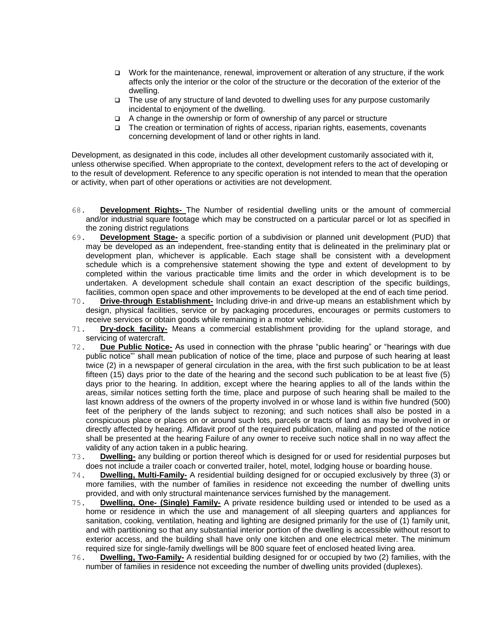- Work for the maintenance, renewal, improvement or alteration of any structure, if the work affects only the interior or the color of the structure or the decoration of the exterior of the dwelling.
- $\Box$  The use of any structure of land devoted to dwelling uses for any purpose customarily incidental to enjoyment of the dwelling.
- A change in the ownership or form of ownership of any parcel or structure
- □ The creation or termination of rights of access, riparian rights, easements, covenants concerning development of land or other rights in land.

Development, as designated in this code, includes all other development customarily associated with it, unless otherwise specified. When appropriate to the context, development refers to the act of developing or to the result of development. Reference to any specific operation is not intended to mean that the operation or activity, when part of other operations or activities are not development.

- 68. **Development Rights-** The Number of residential dwelling units or the amount of commercial and/or industrial square footage which may be constructed on a particular parcel or lot as specified in the zoning district regulations
- 69. **Development Stage-** a specific portion of a subdivision or planned unit development (PUD) that may be developed as an independent, free-standing entity that is delineated in the preliminary plat or development plan, whichever is applicable. Each stage shall be consistent with a development schedule which is a comprehensive statement showing the type and extent of development to by completed within the various practicable time limits and the order in which development is to be undertaken. A development schedule shall contain an exact description of the specific buildings, facilities, common open space and other improvements to be developed at the end of each time period.
- 70. **Drive-through Establishment-** Including drive-in and drive-up means an establishment which by design, physical facilities, service or by packaging procedures, encourages or permits customers to receive services or obtain goods while remaining in a motor vehicle.
- 71. **Dry-dock facility-** Means a commercial establishment providing for the upland storage, and servicing of watercraft.
- 72. **Due Public Notice-** As used in connection with the phrase "public hearing" or "hearings with due public notice‖' shall mean publication of notice of the time, place and purpose of such hearing at least twice (2) in a newspaper of general circulation in the area, with the first such publication to be at least fifteen (15) days prior to the date of the hearing and the second such publication to be at least five (5) days prior to the hearing. In addition, except where the hearing applies to all of the lands within the areas, similar notices setting forth the time, place and purpose of such hearing shall be mailed to the last known address of the owners of the property involved in or whose land is within five hundred (500) feet of the periphery of the lands subject to rezoning; and such notices shall also be posted in a conspicuous place or places on or around such lots, parcels or tracts of land as may be involved in or directly affected by hearing. Affidavit proof of the required publication, mailing and posted of the notice shall be presented at the hearing Failure of any owner to receive such notice shall in no way affect the validity of any action taken in a public hearing.
- 73. **Dwelling-** any building or portion thereof which is designed for or used for residential purposes but does not include a trailer coach or converted trailer, hotel, motel, lodging house or boarding house.
- 74. **Dwelling, Multi-Family-** A residential building designed for or occupied exclusively by three (3) or more families, with the number of families in residence not exceeding the number of dwelling units provided, and with only structural maintenance services furnished by the management.
- 75. **Dwelling, One- (Single) Family-** A private residence building used or intended to be used as a home or residence in which the use and management of all sleeping quarters and appliances for sanitation, cooking, ventilation, heating and lighting are designed primarily for the use of (1) family unit, and with partitioning so that any substantial interior portion of the dwelling is accessible without resort to exterior access, and the building shall have only one kitchen and one electrical meter. The minimum required size for single-family dwellings will be 800 square feet of enclosed heated living area.
- 76. **Dwelling, Two-Family-** A residential building designed for or occupied by two (2) families, with the number of families in residence not exceeding the number of dwelling units provided (duplexes).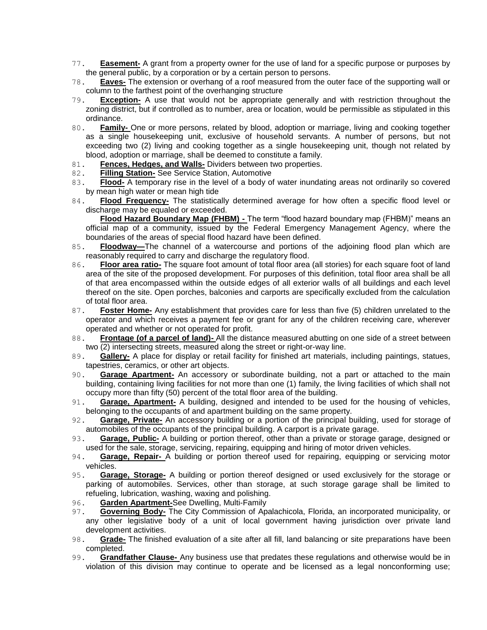- 77. **Easement-** A grant from a property owner for the use of land for a specific purpose or purposes by the general public, by a corporation or by a certain person to persons.
- 78. **Eaves-** The extension or overhang of a roof measured from the outer face of the supporting wall or column to the farthest point of the overhanging structure
- 79. **Exception-** A use that would not be appropriate generally and with restriction throughout the zoning district, but if controlled as to number, area or location, would be permissible as stipulated in this ordinance.
- 80. **Family-** One or more persons, related by blood, adoption or marriage, living and cooking together as a single housekeeping unit, exclusive of household servants. A number of persons, but not exceeding two (2) living and cooking together as a single housekeeping unit, though not related by blood, adoption or marriage, shall be deemed to constitute a family.
- 81. **Fences, Hedges, and Walls-** Dividers between two properties.
- 82. **Filling Station-** See Service Station, Automotive
- 83. **Flood-** A temporary rise in the level of a body of water inundating areas not ordinarily so covered by mean high water or mean high tide
- 84. **Flood Frequency-** The statistically determined average for how often a specific flood level or discharge may be equaled or exceeded.

**Flood Hazard Boundary Map (FHBM) -** The term "flood hazard boundary map (FHBM)" means an official map of a community, issued by the Federal Emergency Management Agency, where the boundaries of the areas of special flood hazard have been defined.

- 85. **Floodway—**The channel of a watercourse and portions of the adjoining flood plan which are reasonably required to carry and discharge the regulatory flood.
- 86. **Floor area ratio-** The square foot amount of total floor area (all stories) for each square foot of land area of the site of the proposed development. For purposes of this definition, total floor area shall be all of that area encompassed within the outside edges of all exterior walls of all buildings and each level thereof on the site. Open porches, balconies and carports are specifically excluded from the calculation of total floor area.
- 87. **Foster Home-** Any establishment that provides care for less than five (5) children unrelated to the operator and which receives a payment fee or grant for any of the children receiving care, wherever operated and whether or not operated for profit.
- 88. **Frontage (of a parcel of land)-** All the distance measured abutting on one side of a street between two (2) intersecting streets, measured along the street or right-or-way line.
- 89. **Gallery-** A place for display or retail facility for finished art materials, including paintings, statues, tapestries, ceramics, or other art objects.
- 90. **Garage Apartment-** An accessory or subordinate building, not a part or attached to the main building, containing living facilities for not more than one (1) family, the living facilities of which shall not occupy more than fifty (50) percent of the total floor area of the building.
- 91. **Garage, Apartment-** A building, designed and intended to be used for the housing of vehicles, belonging to the occupants of and apartment building on the same property.
- 92. **Garage, Private-** An accessory building or a portion of the principal building, used for storage of automobiles of the occupants of the principal building. A carport is a private garage.
- 93. **Garage, Public-** A building or portion thereof, other than a private or storage garage, designed or used for the sale, storage, servicing, repairing, equipping and hiring of motor driven vehicles.
- 94. **Garage, Repair-** A building or portion thereof used for repairing, equipping or servicing motor vehicles.
- 95. **Garage, Storage-** A building or portion thereof designed or used exclusively for the storage or parking of automobiles. Services, other than storage, at such storage garage shall be limited to refueling, lubrication, washing, waxing and polishing.
- 96. **Garden Apartment-**See Dwelling, Multi-Family
- 97. **Governing Body-** The City Commission of Apalachicola, Florida, an incorporated municipality, or any other legislative body of a unit of local government having jurisdiction over private land development activities.
- 98. **Grade-** The finished evaluation of a site after all fill, land balancing or site preparations have been completed.
- 99. **Grandfather Clause-** Any business use that predates these regulations and otherwise would be in violation of this division may continue to operate and be licensed as a legal nonconforming use;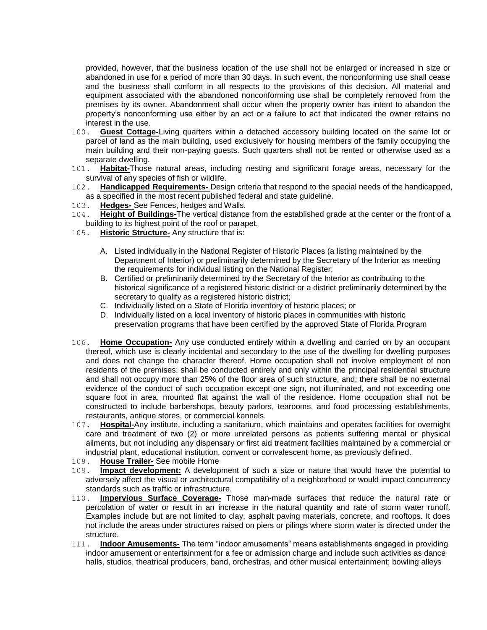provided, however, that the business location of the use shall not be enlarged or increased in size or abandoned in use for a period of more than 30 days. In such event, the nonconforming use shall cease and the business shall conform in all respects to the provisions of this decision. All material and equipment associated with the abandoned nonconforming use shall be completely removed from the premises by its owner. Abandonment shall occur when the property owner has intent to abandon the property's nonconforming use either by an act or a failure to act that indicated the owner retains no interest in the use.

- 100. **Guest Cottage-**Living quarters within a detached accessory building located on the same lot or parcel of land as the main building, used exclusively for housing members of the family occupying the main building and their non-paying guests. Such quarters shall not be rented or otherwise used as a separate dwelling.
- 101. **Habitat-**Those natural areas, including nesting and significant forage areas, necessary for the survival of any species of fish or wildlife.
- 102. **Handicapped Requirements-** Design criteria that respond to the special needs of the handicapped, as a specified in the most recent published federal and state guideline.
- 103. **Hedges-** See Fences, hedges and Walls.
- 104. **Height of Buildings-**The vertical distance from the established grade at the center or the front of a building to its highest point of the roof or parapet.
- 105. **Historic Structure-** Any structure that is:
	- A. Listed individually in the National Register of Historic Places (a listing maintained by the Department of Interior) or preliminarily determined by the Secretary of the Interior as meeting the requirements for individual listing on the National Register;
	- B. Certified or preliminarily determined by the Secretary of the Interior as contributing to the historical significance of a registered historic district or a district preliminarily determined by the secretary to qualify as a registered historic district;
	- C. Individually listed on a State of Florida inventory of historic places; or
	- D. Individually listed on a local inventory of historic places in communities with historic preservation programs that have been certified by the approved State of Florida Program
- 106. **Home Occupation-** Any use conducted entirely within a dwelling and carried on by an occupant thereof, which use is clearly incidental and secondary to the use of the dwelling for dwelling purposes and does not change the character thereof. Home occupation shall not involve employment of non residents of the premises; shall be conducted entirely and only within the principal residential structure and shall not occupy more than 25% of the floor area of such structure, and; there shall be no external evidence of the conduct of such occupation except one sign, not illuminated, and not exceeding one square foot in area, mounted flat against the wall of the residence. Home occupation shall not be constructed to include barbershops, beauty parlors, tearooms, and food processing establishments, restaurants, antique stores, or commercial kennels.
- 107. **Hospital-**Any institute, including a sanitarium, which maintains and operates facilities for overnight care and treatment of two (2) or more unrelated persons as patients suffering mental or physical ailments, but not including any dispensary or first aid treatment facilities maintained by a commercial or industrial plant, educational institution, convent or convalescent home, as previously defined.
- 108. **House Trailer-** See mobile Home
- 109. **Impact development:** A development of such a size or nature that would have the potential to adversely affect the visual or architectural compatibility of a neighborhood or would impact concurrency standards such as traffic or infrastructure.
- 110. **Impervious Surface Coverage-** Those man-made surfaces that reduce the natural rate or percolation of water or result in an increase in the natural quantity and rate of storm water runoff. Examples include but are not limited to clay, asphalt paving materials, concrete, and rooftops. It does not include the areas under structures raised on piers or pilings where storm water is directed under the structure.
- 111. **Indoor Amusements-** The term "indoor amusements" means establishments engaged in providing indoor amusement or entertainment for a fee or admission charge and include such activities as dance halls, studios, theatrical producers, band, orchestras, and other musical entertainment; bowling alleys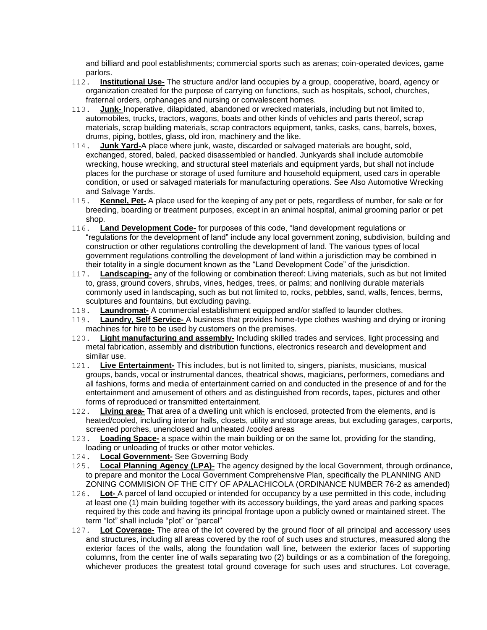and billiard and pool establishments; commercial sports such as arenas; coin-operated devices, game parlors.

- 112. **Institutional Use-** The structure and/or land occupies by a group, cooperative, board, agency or organization created for the purpose of carrying on functions, such as hospitals, school, churches, fraternal orders, orphanages and nursing or convalescent homes.
- 113. **Junk-** Inoperative, dilapidated, abandoned or wrecked materials, including but not limited to, automobiles, trucks, tractors, wagons, boats and other kinds of vehicles and parts thereof, scrap materials, scrap building materials, scrap contractors equipment, tanks, casks, cans, barrels, boxes, drums, piping, bottles, glass, old iron, machinery and the like.
- 114. **Junk Yard-**A place where junk, waste, discarded or salvaged materials are bought, sold, exchanged, stored, baled, packed disassembled or handled. Junkyards shall include automobile wrecking, house wrecking, and structural steel materials and equipment yards, but shall not include places for the purchase or storage of used furniture and household equipment, used cars in operable condition, or used or salvaged materials for manufacturing operations. See Also Automotive Wrecking and Salvage Yards.
- 115. **Kennel, Pet-** A place used for the keeping of any pet or pets, regardless of number, for sale or for breeding, boarding or treatment purposes, except in an animal hospital, animal grooming parlor or pet shop.
- 116. **Land Development Code-** for purposes of this code, "land development regulations or ―regulations for the development of land‖ include any local government zoning, subdivision, building and construction or other regulations controlling the development of land. The various types of local government regulations controlling the development of land within a jurisdiction may be combined in their totality in a single document known as the "Land Development Code" of the jurisdiction.
- 117. **Landscaping-** any of the following or combination thereof: Living materials, such as but not limited to, grass, ground covers, shrubs, vines, hedges, trees, or palms; and nonliving durable materials commonly used in landscaping, such as but not limited to, rocks, pebbles, sand, walls, fences, berms, sculptures and fountains, but excluding paving.
- 118. **Laundromat-** A commercial establishment equipped and/or staffed to launder clothes.
- 119. **Laundry, Self Service-** A business that provides home-type clothes washing and drying or ironing machines for hire to be used by customers on the premises.
- 120. **Light manufacturing and assembly-** Including skilled trades and services, light processing and metal fabrication, assembly and distribution functions, electronics research and development and similar use.
- 121. **Live Entertainment-** This includes, but is not limited to, singers, pianists, musicians, musical groups, bands, vocal or instrumental dances, theatrical shows, magicians, performers, comedians and all fashions, forms and media of entertainment carried on and conducted in the presence of and for the entertainment and amusement of others and as distinguished from records, tapes, pictures and other forms of reproduced or transmitted entertainment.
- 122. **Living area-** That area of a dwelling unit which is enclosed, protected from the elements, and is heated/cooled, including interior halls, closets, utility and storage areas, but excluding garages, carports, screened porches, unenclosed and unheated /cooled areas
- 123. **Loading Space-** a space within the main building or on the same lot, providing for the standing, loading or unloading of trucks or other motor vehicles.
- 124. **Local Government-** See Governing Body
- 125. **Local Planning Agency (LPA)-** The agency designed by the local Government, through ordinance, to prepare and monitor the Local Government Comprehensive Plan, specifically the PLANNING AND ZONING COMMISION OF THE CITY OF APALACHICOLA (ORDINANCE NUMBER 76-2 as amended)
- 126. **Lot-** A parcel of land occupied or intended for occupancy by a use permitted in this code, including at least one (1) main building together with its accessory buildings, the yard areas and parking spaces required by this code and having its principal frontage upon a publicly owned or maintained street. The term "lot" shall include "plot" or "parcel"
- 127. **Lot Coverage-** The area of the lot covered by the ground floor of all principal and accessory uses and structures, including all areas covered by the roof of such uses and structures, measured along the exterior faces of the walls, along the foundation wall line, between the exterior faces of supporting columns, from the center line of walls separating two (2) buildings or as a combination of the foregoing, whichever produces the greatest total ground coverage for such uses and structures. Lot coverage,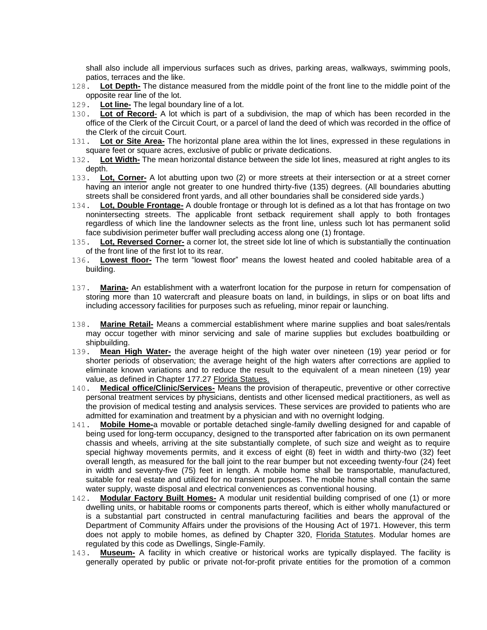shall also include all impervious surfaces such as drives, parking areas, walkways, swimming pools, patios, terraces and the like.

- 128. **Lot Depth-** The distance measured from the middle point of the front line to the middle point of the opposite rear line of the lot.
- 129. **Lot line-** The legal boundary line of a lot.<br>130. **Lot of Record-** A lot which is part of a
- **Lot of Record-** A lot which is part of a subdivision, the map of which has been recorded in the office of the Clerk of the Circuit Court, or a parcel of land the deed of which was recorded in the office of the Clerk of the circuit Court.
- 131. **Lot or Site Area-** The horizontal plane area within the lot lines, expressed in these regulations in square feet or square acres, exclusive of public or private dedications.
- 132. **Lot Width-** The mean horizontal distance between the side lot lines, measured at right angles to its depth.
- 133. **Lot, Corner-** A lot abutting upon two (2) or more streets at their intersection or at a street corner having an interior angle not greater to one hundred thirty-five (135) degrees. (All boundaries abutting streets shall be considered front yards, and all other boundaries shall be considered side yards.)
- 134. **Lot, Double Frontage-** A double frontage or through lot is defined as a lot that has frontage on two nonintersecting streets. The applicable front setback requirement shall apply to both frontages regardless of which line the landowner selects as the front line, unless such lot has permanent solid face subdivision perimeter buffer wall precluding access along one (1) frontage.
- 135. **Lot, Reversed Corner-** a corner lot, the street side lot line of which is substantially the continuation of the front line of the first lot to its rear.
- 136. Lowest floor- The term "lowest floor" means the lowest heated and cooled habitable area of a building.
- 137. **Marina-** An establishment with a waterfront location for the purpose in return for compensation of storing more than 10 watercraft and pleasure boats on land, in buildings, in slips or on boat lifts and including accessory facilities for purposes such as refueling, minor repair or launching.
- 138. **Marine Retail-** Means a commercial establishment where marine supplies and boat sales/rentals may occur together with minor servicing and sale of marine supplies but excludes boatbuilding or shipbuilding.
- 139. **Mean High Water-** the average height of the high water over nineteen (19) year period or for shorter periods of observation; the average height of the high waters after corrections are applied to eliminate known variations and to reduce the result to the equivalent of a mean nineteen (19) year value, as defined in Chapter 177.27 Florida Statues.
- 140. **Medical office/Clinic/Services-** Means the provision of therapeutic, preventive or other corrective personal treatment services by physicians, dentists and other licensed medical practitioners, as well as the provision of medical testing and analysis services. These services are provided to patients who are admitted for examination and treatment by a physician and with no overnight lodging.
- 141. **Mobile Home-**a movable or portable detached single-family dwelling designed for and capable of being used for long-term occupancy, designed to the transported after fabrication on its own permanent chassis and wheels, arriving at the site substantially complete, of such size and weight as to require special highway movements permits, and it excess of eight (8) feet in width and thirty-two (32) feet overall length, as measured for the ball joint to the rear bumper but not exceeding twenty-four (24) feet in width and seventy-five (75) feet in length. A mobile home shall be transportable, manufactured, suitable for real estate and utilized for no transient purposes. The mobile home shall contain the same water supply, waste disposal and electrical conveniences as conventional housing.
- 142. **Modular Factory Built Homes-** A modular unit residential building comprised of one (1) or more dwelling units, or habitable rooms or components parts thereof, which is either wholly manufactured or is a substantial part constructed in central manufacturing facilities and bears the approval of the Department of Community Affairs under the provisions of the Housing Act of 1971. However, this term does not apply to mobile homes, as defined by Chapter 320, Florida Statutes. Modular homes are regulated by this code as Dwellings, Single-Family.
- 143. **Museum-** A facility in which creative or historical works are typically displayed. The facility is generally operated by public or private not-for-profit private entities for the promotion of a common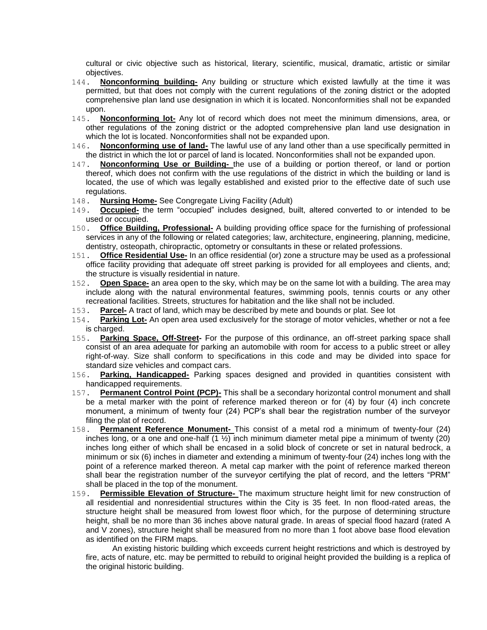cultural or civic objective such as historical, literary, scientific, musical, dramatic, artistic or similar objectives.

- 144. **Nonconforming building-** Any building or structure which existed lawfully at the time it was permitted, but that does not comply with the current regulations of the zoning district or the adopted comprehensive plan land use designation in which it is located. Nonconformities shall not be expanded upon.
- 145. **Nonconforming lot-** Any lot of record which does not meet the minimum dimensions, area, or other regulations of the zoning district or the adopted comprehensive plan land use designation in which the lot is located. Nonconformities shall not be expanded upon.
- 146. **Nonconforming use of land-** The lawful use of any land other than a use specifically permitted in the district in which the lot or parcel of land is located. Nonconformities shall not be expanded upon.
- 147. **Nonconforming Use or Building-** the use of a building or portion thereof, or land or portion thereof, which does not confirm with the use regulations of the district in which the building or land is located, the use of which was legally established and existed prior to the effective date of such use regulations.
- 148. **Nursing Home-** See Congregate Living Facility (Adult)
- 149. **Occupied-** the term "occupied" includes designed, built, altered converted to or intended to be used or occupied.
- 150. **Office Building, Professional-** A building providing office space for the furnishing of professional services in any of the following or related categories; law, architecture, engineering, planning, medicine, dentistry, osteopath, chiropractic, optometry or consultants in these or related professions.
- 151. **Office Residential Use-** In an office residential (or) zone a structure may be used as a professional office facility providing that adequate off street parking is provided for all employees and clients, and; the structure is visually residential in nature.
- 152. **Open Space-** an area open to the sky, which may be on the same lot with a building. The area may include along with the natural environmental features, swimming pools, tennis courts or any other recreational facilities. Streets, structures for habitation and the like shall not be included.
- 153. **Parcel-** A tract of land, which may be described by mete and bounds or plat. See lot
- 154. **Parking Lot-** An open area used exclusively for the storage of motor vehicles, whether or not a fee is charged.
- 155. **Parking Space, Off-Street-** For the purpose of this ordinance, an off-street parking space shall consist of an area adequate for parking an automobile with room for access to a public street or alley right-of-way. Size shall conform to specifications in this code and may be divided into space for standard size vehicles and compact cars.
- 156. **Parking, Handicapped-** Parking spaces designed and provided in quantities consistent with handicapped requirements.
- 157. **Permanent Control Point (PCP)-** This shall be a secondary horizontal control monument and shall be a metal marker with the point of reference marked thereon or for (4) by four (4) inch concrete monument, a minimum of twenty four (24) PCP's shall bear the registration number of the surveyor filing the plat of record.
- 158. **Permanent Reference Monument-** This consist of a metal rod a minimum of twenty-four (24) inches long, or a one and one-half (1 ½) inch minimum diameter metal pipe a minimum of twenty (20) inches long either of which shall be encased in a solid block of concrete or set in natural bedrock, a minimum or six (6) inches in diameter and extending a minimum of twenty-four (24) inches long with the point of a reference marked thereon. A metal cap marker with the point of reference marked thereon shall bear the registration number of the surveyor certifying the plat of record, and the letters "PRM" shall be placed in the top of the monument.
- 159. **Permissible Elevation of Structure-** The maximum structure height limit for new construction of all residential and nonresidential structures within the City is 35 feet. In non flood-rated areas, the structure height shall be measured from lowest floor which, for the purpose of determining structure height, shall be no more than 36 inches above natural grade. In areas of special flood hazard (rated A and V zones), structure height shall be measured from no more than 1 foot above base flood elevation as identified on the FIRM maps.

 An existing historic building which exceeds current height restrictions and which is destroyed by fire, acts of nature, etc. may be permitted to rebuild to original height provided the building is a replica of the original historic building.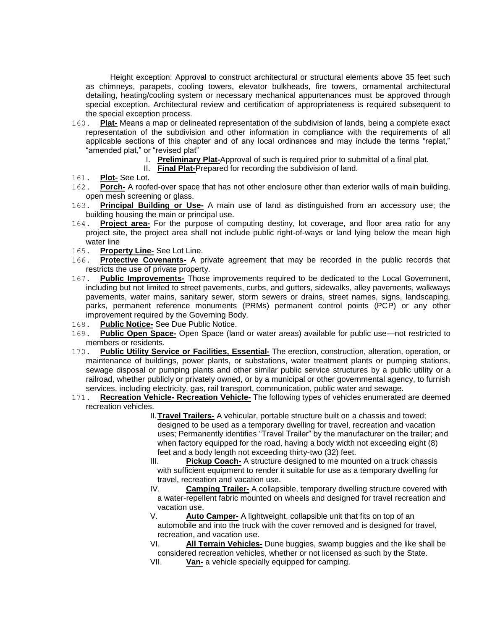Height exception: Approval to construct architectural or structural elements above 35 feet such as chimneys, parapets, cooling towers, elevator bulkheads, fire towers, ornamental architectural detailing, heating/cooling system or necessary mechanical appurtenances must be approved through special exception. Architectural review and certification of appropriateness is required subsequent to the special exception process.

- 160. **Plat-** Means a map or delineated representation of the subdivision of lands, being a complete exact representation of the subdivision and other information in compliance with the requirements of all applicable sections of this chapter and of any local ordinances and may include the terms "replat," "amended plat," or "revised plat"
	- I. **Preliminary Plat-**Approval of such is required prior to submittal of a final plat.
	- II. **Final Plat-**Prepared for recording the subdivision of land.
- 161. **Plot-** See Lot.
- 162. **Porch-** A roofed-over space that has not other enclosure other than exterior walls of main building, open mesh screening or glass.
- 163. **Principal Building or Use-** A main use of land as distinguished from an accessory use; the building housing the main or principal use.
- 164. **Project area-** For the purpose of computing destiny, lot coverage, and floor area ratio for any project site, the project area shall not include public right-of-ways or land lying below the mean high water line
- 165. **Property Line-** See Lot Line.
- 166. **Protective Covenants-** A private agreement that may be recorded in the public records that restricts the use of private property.
- 167. **Public Improvements-** Those improvements required to be dedicated to the Local Government, including but not limited to street pavements, curbs, and gutters, sidewalks, alley pavements, walkways pavements, water mains, sanitary sewer, storm sewers or drains, street names, signs, landscaping, parks, permanent reference monuments (PRMs) permanent control points (PCP) or any other improvement required by the Governing Body.
- 168. **Public Notice-** See Due Public Notice.
- 169. **Public Open Space-** Open Space (land or water areas) available for public use—not restricted to members or residents.
- 170. **Public Utility Service or Facilities, Essential-** The erection, construction, alteration, operation, or maintenance of buildings, power plants, or substations, water treatment plants or pumping stations, sewage disposal or pumping plants and other similar public service structures by a public utility or a railroad, whether publicly or privately owned, or by a municipal or other governmental agency, to furnish services, including electricity, gas, rail transport, communication, public water and sewage.
- 171. **Recreation Vehicle- Recreation Vehicle-** The following types of vehicles enumerated are deemed recreation vehicles.
	- II.**Travel Trailers-** A vehicular, portable structure built on a chassis and towed; designed to be used as a temporary dwelling for travel, recreation and vacation uses; Permanently identifies "Travel Trailer" by the manufacturer on the trailer; and when factory equipped for the road, having a body width not exceeding eight (8) feet and a body length not exceeding thirty-two (32) feet.
	- III. **Pickup Coach-** A structure designed to me mounted on a truck chassis with sufficient equipment to render it suitable for use as a temporary dwelling for travel, recreation and vacation use.
	- IV. **Camping Trailer-** A collapsible, temporary dwelling structure covered with a water-repellent fabric mounted on wheels and designed for travel recreation and vacation use.
	- V. **Auto Camper-** A lightweight, collapsible unit that fits on top of an automobile and into the truck with the cover removed and is designed for travel, recreation, and vacation use.
	- VI. **All Terrain Vehicles-** Dune buggies, swamp buggies and the like shall be considered recreation vehicles, whether or not licensed as such by the State.
	- VII. **Van-** a vehicle specially equipped for camping.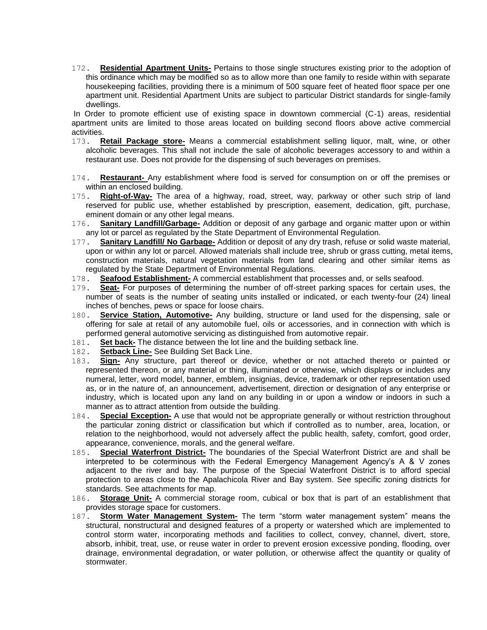172. **Residential Apartment Units-** Pertains to those single structures existing prior to the adoption of this ordinance which may be modified so as to allow more than one family to reside within with separate housekeeping facilities, providing there is a minimum of 500 square feet of heated floor space per one apartment unit. Residential Apartment Units are subject to particular District standards for single-family dwellings.

In Order to promote efficient use of existing space in downtown commercial (C-1) areas, residential apartment units are limited to those areas located on building second floors above active commercial activities.

- 173. **Retail Package store-** Means a commercial establishment selling liquor, malt, wine, or other alcoholic beverages. This shall not include the sale of alcoholic beverages accessory to and within a restaurant use. Does not provide for the dispensing of such beverages on premises.
- 174. **Restaurant-** Any establishment where food is served for consumption on or off the premises or within an enclosed building.
- 175. **Right-of-Way-** The area of a highway, road, street, way, parkway or other such strip of land reserved for public use, whether established by prescription, easement, dedication, gift, purchase, eminent domain or any other legal means.
- 176. **Sanitary Landfill/Garbage-** Addition or deposit of any garbage and organic matter upon or within any lot or parcel as regulated by the State Department of Environmental Regulation.
- 177. **Sanitary Landfill/ No Garbage-** Addition or deposit of any dry trash, refuse or solid waste material, upon or within any lot or parcel. Allowed materials shall include tree, shrub or grass cutting, metal items, construction materials, natural vegetation materials from land clearing and other similar items as regulated by the State Department of Environmental Regulations.
- 178. **Seafood Establishment-** A commercial establishment that processes and, or sells seafood.
- 179. **Seat-** For purposes of determining the number of off-street parking spaces for certain uses, the number of seats is the number of seating units installed or indicated, or each twenty-four (24) lineal inches of benches, pews or space for loose chairs.
- 180. **Service Station, Automotive-** Any building, structure or land used for the dispensing, sale or offering for sale at retail of any automobile fuel, oils or accessories, and in connection with which is performed general automotive servicing as distinguished from automotive repair.
- 181. **Set back-** The distance between the lot line and the building setback line.
- 182. **Setback Line-** See Building Set Back Line.
- 183. **Sign-** Any structure, part thereof or device, whether or not attached thereto or painted or represented thereon, or any material or thing, illuminated or otherwise, which displays or includes any numeral, letter, word model, banner, emblem, insignias, device, trademark or other representation used as, or in the nature of, an announcement, advertisement, direction or designation of any enterprise or industry, which is located upon any land on any building in or upon a window or indoors in such a manner as to attract attention from outside the building.
- 184. **Special Exception-** A use that would not be appropriate generally or without restriction throughout the particular zoning district or classification but which if controlled as to number, area, location, or relation to the neighborhood, would not adversely affect the public health, safety, comfort, good order, appearance, convenience, morals, and the general welfare.
- 185. **Special Waterfront District-** The boundaries of the Special Waterfront District are and shall be interpreted to be coterminous with the Federal Emergency Management Agency's A & V zones adjacent to the river and bay. The purpose of the Special Waterfront District is to afford special protection to areas close to the Apalachicola River and Bay system. See specific zoning districts for standards. See attachments for map.
- 186. **Storage Unit-** A commercial storage room, cubical or box that is part of an establishment that provides storage space for customers.
- 187. **Storm Water Management System-** The term "storm water management system" means the structural, nonstructural and designed features of a property or watershed which are implemented to control storm water, incorporating methods and facilities to collect, convey, channel, divert, store, absorb, inhibit, treat, use, or reuse water in order to prevent erosion excessive ponding, flooding, over drainage, environmental degradation, or water pollution, or otherwise affect the quantity or quality of stormwater.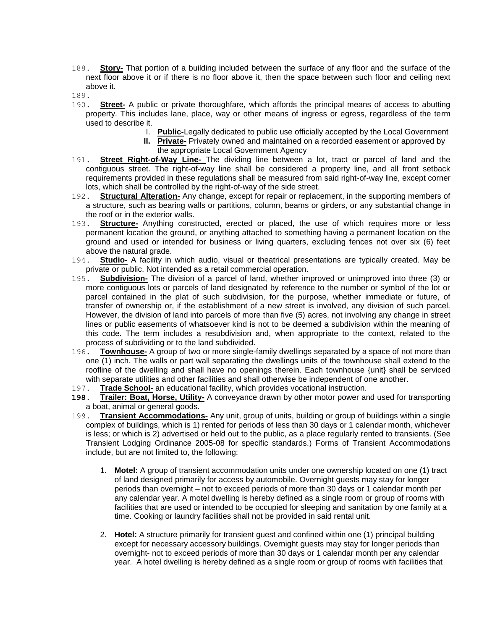- 188. **Story-** That portion of a building included between the surface of any floor and the surface of the next floor above it or if there is no floor above it, then the space between such floor and ceiling next above it.
- 189.
- 190. **Street-** A public or private thoroughfare, which affords the principal means of access to abutting property. This includes lane, place, way or other means of ingress or egress, regardless of the term used to describe it.
	- I. **Public-**Legally dedicated to public use officially accepted by the Local Government
	- **II. Private-** Privately owned and maintained on a recorded easement or approved by the appropriate Local Government Agency
- 191. **Street Right-of-Way Line-** The dividing line between a lot, tract or parcel of land and the contiguous street. The right-of-way line shall be considered a property line, and all front setback requirements provided in these regulations shall be measured from said right-of-way line, except corner lots, which shall be controlled by the right-of-way of the side street.
- 192. **Structural Alteration-** Any change, except for repair or replacement, in the supporting members of a structure, such as bearing walls or partitions, column, beams or girders, or any substantial change in the roof or in the exterior walls.
- 193. **Structure-** Anything constructed, erected or placed, the use of which requires more or less permanent location the ground, or anything attached to something having a permanent location on the ground and used or intended for business or living quarters, excluding fences not over six (6) feet above the natural grade.
- 194. **Studio-** A facility in which audio, visual or theatrical presentations are typically created. May be private or public. Not intended as a retail commercial operation.
- 195. **Subdivision-** The division of a parcel of land, whether improved or unimproved into three (3) or more contiguous lots or parcels of land designated by reference to the number or symbol of the lot or parcel contained in the plat of such subdivision, for the purpose, whether immediate or future, of transfer of ownership or, if the establishment of a new street is involved, any division of such parcel. However, the division of land into parcels of more than five (5) acres, not involving any change in street lines or public easements of whatsoever kind is not to be deemed a subdivision within the meaning of this code. The term includes a resubdivision and, when appropriate to the context, related to the process of subdividing or to the land subdivided.
- 196. **Townhouse-** A group of two or more single-family dwellings separated by a space of not more than one (1) inch. The walls or part wall separating the dwellings units of the townhouse shall extend to the roofline of the dwelling and shall have no openings therein. Each townhouse {unit} shall be serviced with separate utilities and other facilities and shall otherwise be independent of one another.
- 197. **Trade School-** an educational facility, which provides vocational instruction.
- **198. Trailer: Boat, Horse, Utility-** A conveyance drawn by other motor power and used for transporting a boat, animal or general goods.
- 199. **Transient Accommodations-** Any unit, group of units, building or group of buildings within a single complex of buildings, which is 1) rented for periods of less than 30 days or 1 calendar month, whichever is less; or which is 2) advertised or held out to the public, as a place regularly rented to transients. (See Transient Lodging Ordinance 2005-08 for specific standards.) Forms of Transient Accommodations include, but are not limited to, the following:
	- 1. **Motel:** A group of transient accommodation units under one ownership located on one (1) tract of land designed primarily for access by automobile. Overnight guests may stay for longer periods than overnight – not to exceed periods of more than 30 days or 1 calendar month per any calendar year. A motel dwelling is hereby defined as a single room or group of rooms with facilities that are used or intended to be occupied for sleeping and sanitation by one family at a time. Cooking or laundry facilities shall not be provided in said rental unit.
	- 2. **Hotel:** A structure primarily for transient guest and confined within one (1) principal building except for necessary accessory buildings. Overnight guests may stay for longer periods than overnight- not to exceed periods of more than 30 days or 1 calendar month per any calendar year. A hotel dwelling is hereby defined as a single room or group of rooms with facilities that